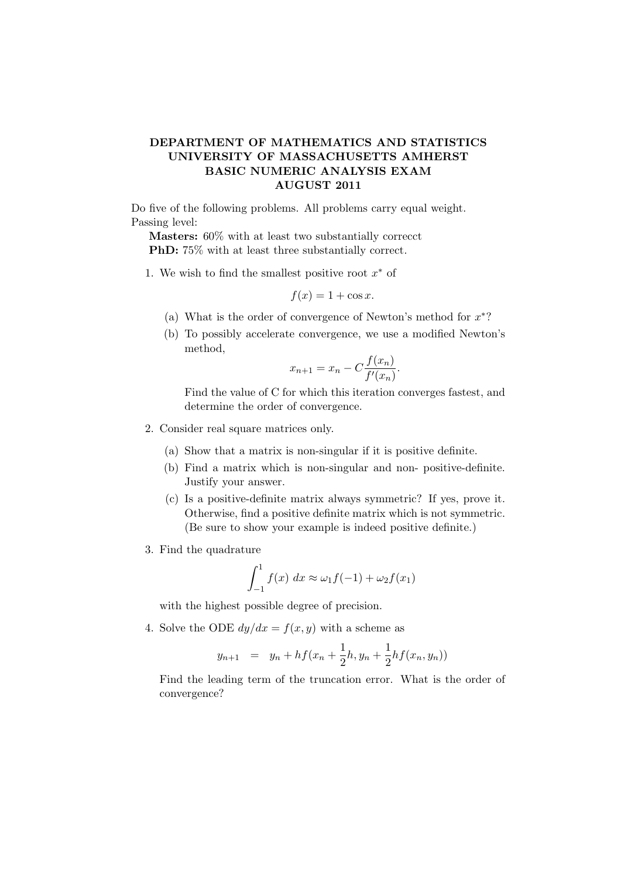## DEPARTMENT OF MATHEMATICS AND STATISTICS UNIVERSITY OF MASSACHUSETTS AMHERST BASIC NUMERIC ANALYSIS EXAM AUGUST 2011

Do five of the following problems. All problems carry equal weight. Passing level:

Masters: 60% with at least two substantially correcct PhD: 75% with at least three substantially correct.

1. We wish to find the smallest positive root  $x^*$  of

$$
f(x) = 1 + \cos x.
$$

- (a) What is the order of convergence of Newton's method for  $x^*$ ?
- (b) To possibly accelerate convergence, we use a modified Newton's method,

$$
x_{n+1} = x_n - C \frac{f(x_n)}{f'(x_n)}.
$$

Find the value of C for which this iteration converges fastest, and determine the order of convergence.

- 2. Consider real square matrices only.
	- (a) Show that a matrix is non-singular if it is positive definite.
	- (b) Find a matrix which is non-singular and non- positive-definite. Justify your answer.
	- (c) Is a positive-definite matrix always symmetric? If yes, prove it. Otherwise, find a positive definite matrix which is not symmetric. (Be sure to show your example is indeed positive definite.)
- 3. Find the quadrature

$$
\int_{-1}^{1} f(x) dx \approx \omega_1 f(-1) + \omega_2 f(x_1)
$$

with the highest possible degree of precision.

4. Solve the ODE  $dy/dx = f(x, y)$  with a scheme as

$$
y_{n+1} = y_n + h f(x_n + \frac{1}{2}h, y_n + \frac{1}{2}h f(x_n, y_n))
$$

Find the leading term of the truncation error. What is the order of convergence?